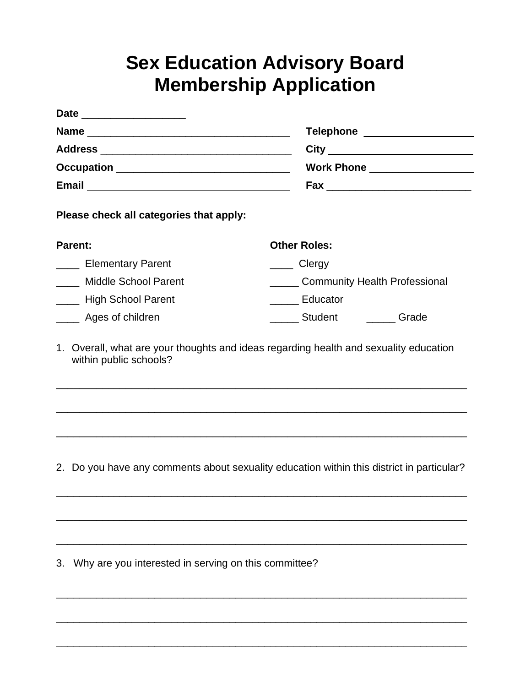## **Sex Education Advisory Board Membership Application**

| <b>Date</b><br>the control of the control of the control of the control of the control of                                                          |                                                                 |
|----------------------------------------------------------------------------------------------------------------------------------------------------|-----------------------------------------------------------------|
| <b>Name</b>                                                                                                                                        | <b>Telephone</b><br><u> Andrew American American American A</u> |
|                                                                                                                                                    |                                                                 |
| <b>Occupation</b><br><u> 1999 - Johann John Stone, mars et al. 1999 - John Stone, mars et al. 1999 - John Stone, mars et al. 1999 - John Stone</u> | Work Phone __________________                                   |
| <b>Email</b>                                                                                                                                       |                                                                 |

**Please check all categories that apply:**

| <b>Parent:</b>            | <b>Other Roles:</b>                  |
|---------------------------|--------------------------------------|
| <b>Elementary Parent</b>  | Clergy                               |
| Middle School Parent      | <b>Community Health Professional</b> |
| <b>High School Parent</b> | Educator                             |
| Ages of children          | Student<br>Grade                     |

1. Overall, what are your thoughts and ideas regarding health and sexuality education within public schools?

\_\_\_\_\_\_\_\_\_\_\_\_\_\_\_\_\_\_\_\_\_\_\_\_\_\_\_\_\_\_\_\_\_\_\_\_\_\_\_\_\_\_\_\_\_\_\_\_\_\_\_\_\_\_\_\_\_\_\_\_\_\_\_\_\_\_\_\_\_\_\_

\_\_\_\_\_\_\_\_\_\_\_\_\_\_\_\_\_\_\_\_\_\_\_\_\_\_\_\_\_\_\_\_\_\_\_\_\_\_\_\_\_\_\_\_\_\_\_\_\_\_\_\_\_\_\_\_\_\_\_\_\_\_\_\_\_\_\_\_\_\_\_

\_\_\_\_\_\_\_\_\_\_\_\_\_\_\_\_\_\_\_\_\_\_\_\_\_\_\_\_\_\_\_\_\_\_\_\_\_\_\_\_\_\_\_\_\_\_\_\_\_\_\_\_\_\_\_\_\_\_\_\_\_\_\_\_\_\_\_\_\_\_\_

2. Do you have any comments about sexuality education within this district in particular?

\_\_\_\_\_\_\_\_\_\_\_\_\_\_\_\_\_\_\_\_\_\_\_\_\_\_\_\_\_\_\_\_\_\_\_\_\_\_\_\_\_\_\_\_\_\_\_\_\_\_\_\_\_\_\_\_\_\_\_\_\_\_\_\_\_\_\_\_\_\_\_

\_\_\_\_\_\_\_\_\_\_\_\_\_\_\_\_\_\_\_\_\_\_\_\_\_\_\_\_\_\_\_\_\_\_\_\_\_\_\_\_\_\_\_\_\_\_\_\_\_\_\_\_\_\_\_\_\_\_\_\_\_\_\_\_\_\_\_\_\_\_\_

\_\_\_\_\_\_\_\_\_\_\_\_\_\_\_\_\_\_\_\_\_\_\_\_\_\_\_\_\_\_\_\_\_\_\_\_\_\_\_\_\_\_\_\_\_\_\_\_\_\_\_\_\_\_\_\_\_\_\_\_\_\_\_\_\_\_\_\_\_\_\_

\_\_\_\_\_\_\_\_\_\_\_\_\_\_\_\_\_\_\_\_\_\_\_\_\_\_\_\_\_\_\_\_\_\_\_\_\_\_\_\_\_\_\_\_\_\_\_\_\_\_\_\_\_\_\_\_\_\_\_\_\_\_\_\_\_\_\_\_\_\_\_

\_\_\_\_\_\_\_\_\_\_\_\_\_\_\_\_\_\_\_\_\_\_\_\_\_\_\_\_\_\_\_\_\_\_\_\_\_\_\_\_\_\_\_\_\_\_\_\_\_\_\_\_\_\_\_\_\_\_\_\_\_\_\_\_\_\_\_\_\_\_\_

\_\_\_\_\_\_\_\_\_\_\_\_\_\_\_\_\_\_\_\_\_\_\_\_\_\_\_\_\_\_\_\_\_\_\_\_\_\_\_\_\_\_\_\_\_\_\_\_\_\_\_\_\_\_\_\_\_\_\_\_\_\_\_\_\_\_\_\_\_\_\_

3. Why are you interested in serving on this committee?